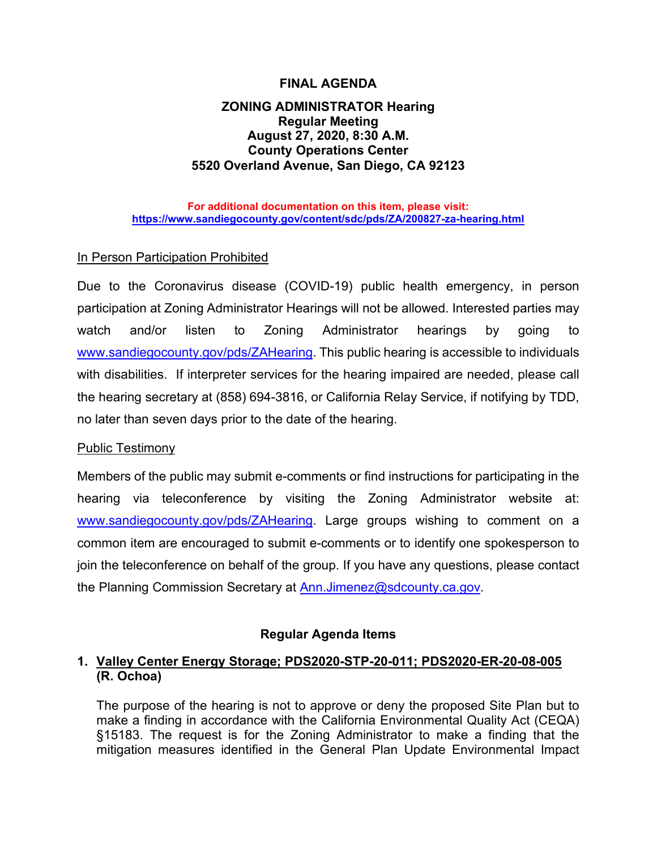# **FINAL AGENDA**

# **ZONING ADMINISTRATOR Hearing Regular Meeting August 27, 2020, 8:30 A.M. County Operations Center 5520 Overland Avenue, San Diego, CA 92123**

#### **For additional documentation on this item, please visit: <https://www.sandiegocounty.gov/content/sdc/pds/ZA/200827-za-hearing.html>**

## In Person Participation Prohibited

Due to the Coronavirus disease (COVID-19) public health emergency, in person participation at Zoning Administrator Hearings will not be allowed. Interested parties may watch and/or listen to Zoning Administrator hearings by going to [www.sandiegocounty.gov/pds/ZAHearing.](http://www.sandiegocounty.gov/pds/ZAHearing) This public hearing is accessible to individuals with disabilities. If interpreter services for the hearing impaired are needed, please call the hearing secretary at (858) 694-3816, or California Relay Service, if notifying by TDD, no later than seven days prior to the date of the hearing.

### Public Testimony

Members of the public may submit e-comments or find instructions for participating in the hearing via teleconference by visiting the Zoning Administrator website at: [www.sandiegocounty.gov/pds/ZAHearing.](http://www.sandiegocounty.gov/pds/ZAHearing) Large groups wishing to comment on a common item are encouraged to submit e-comments or to identify one spokesperson to join the teleconference on behalf of the group. If you have any questions, please contact the Planning Commission Secretary at [Ann.Jimenez@sdcounty.ca.gov.](mailto:Ann.Jimenez@sdcounty.ca.gov)

### **Regular Agenda Items**

# **1. Valley Center Energy Storage; PDS2020-STP-20-011; PDS2020-ER-20-08-005 (R. Ochoa)**

The purpose of the hearing is not to approve or deny the proposed Site Plan but to make a finding in accordance with the California Environmental Quality Act (CEQA) §15183. The request is for the Zoning Administrator to make a finding that the mitigation measures identified in the General Plan Update Environmental Impact